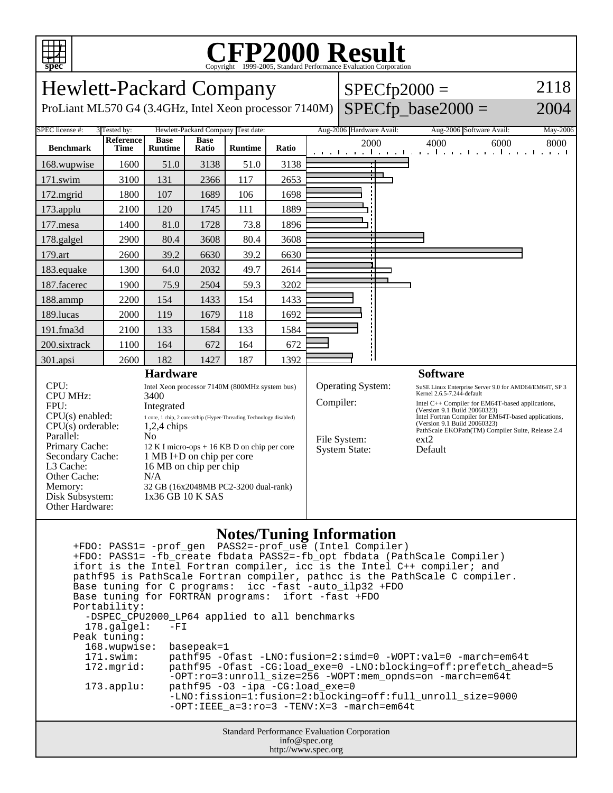

## C<sub>opyright</sub> ©1999-2005, Standard Performance Evaluation Corporation

| <b>Hewlett-Packard Company</b>                                                                                                            |                                 |                                      |                      |                                                      | $SPECfp2000 =$ | 2118                                                                                                      |                                    |                                                                                   |                                                                                      |              |  |
|-------------------------------------------------------------------------------------------------------------------------------------------|---------------------------------|--------------------------------------|----------------------|------------------------------------------------------|----------------|-----------------------------------------------------------------------------------------------------------|------------------------------------|-----------------------------------------------------------------------------------|--------------------------------------------------------------------------------------|--------------|--|
| $SPECfp\_base2000 =$<br>ProLiant ML570 G4 (3.4GHz, Intel Xeon processor 7140M)<br>2004                                                    |                                 |                                      |                      |                                                      |                |                                                                                                           |                                    |                                                                                   |                                                                                      |              |  |
| SPEC license #:<br>Hewlett-Packard Company Test date:<br>Aug-2006 Hardware Avail:<br>3 Tested by:<br>Aug-2006 Software Avail:<br>May-2006 |                                 |                                      |                      |                                                      |                |                                                                                                           |                                    |                                                                                   |                                                                                      |              |  |
| <b>Benchmark</b>                                                                                                                          | <b>Reference</b><br><b>Time</b> | <b>Base</b><br><b>Runtime</b>        | <b>Base</b><br>Ratio | <b>Runtime</b>                                       | Ratio          |                                                                                                           | 2000<br>and the model and a trans- |                                                                                   | 4000<br>.                                                                            | 6000<br>8000 |  |
| 168.wupwise                                                                                                                               | 1600                            | 51.0                                 | 3138                 | 51.0                                                 | 3138           |                                                                                                           |                                    |                                                                                   |                                                                                      |              |  |
| 171.swim                                                                                                                                  | 3100                            | 131                                  | 2366                 | 117                                                  | 2653           |                                                                                                           |                                    |                                                                                   |                                                                                      |              |  |
| 172.mgrid                                                                                                                                 | 1800                            | 107                                  | 1689                 | 106                                                  | 1698           |                                                                                                           |                                    |                                                                                   |                                                                                      |              |  |
| 173.applu                                                                                                                                 | 2100                            | 120                                  | 1745                 | 111                                                  | 1889           |                                                                                                           |                                    |                                                                                   |                                                                                      |              |  |
| 177.mesa                                                                                                                                  | 1400                            | 81.0                                 | 1728                 | 73.8                                                 | 1896           |                                                                                                           |                                    |                                                                                   |                                                                                      |              |  |
| 178.galgel                                                                                                                                | 2900                            | 80.4                                 | 3608                 | 80.4                                                 | 3608           |                                                                                                           |                                    |                                                                                   |                                                                                      |              |  |
| 179.art                                                                                                                                   | 2600                            | 39.2                                 | 6630                 | 39.2                                                 | 6630           |                                                                                                           |                                    |                                                                                   |                                                                                      |              |  |
| 183.equake                                                                                                                                | 1300                            | 64.0                                 | 2032                 | 49.7                                                 | 2614           |                                                                                                           |                                    |                                                                                   |                                                                                      |              |  |
| 187.facerec                                                                                                                               | 1900                            | 75.9                                 | 2504                 | 59.3                                                 | 3202           |                                                                                                           |                                    |                                                                                   |                                                                                      |              |  |
| 188.ammp                                                                                                                                  | 2200                            | 154                                  | 1433                 | 154                                                  | 1433           |                                                                                                           |                                    |                                                                                   |                                                                                      |              |  |
| 189.lucas                                                                                                                                 | 2000                            | 119                                  | 1679                 | 118                                                  | 1692           |                                                                                                           |                                    |                                                                                   |                                                                                      |              |  |
| 191.fma3d                                                                                                                                 | 2100                            | 133                                  | 1584                 | 133                                                  | 1584           |                                                                                                           |                                    |                                                                                   |                                                                                      |              |  |
| 200.sixtrack                                                                                                                              | 1100                            | 164                                  | 672                  | 164                                                  | 672            |                                                                                                           |                                    |                                                                                   |                                                                                      |              |  |
| 301.apsi                                                                                                                                  | 2600                            | 182                                  | 1427                 | 187                                                  | 1392           |                                                                                                           |                                    |                                                                                   |                                                                                      |              |  |
| <b>Hardware</b>                                                                                                                           |                                 |                                      |                      |                                                      |                |                                                                                                           | <b>Software</b>                    |                                                                                   |                                                                                      |              |  |
| CPU:<br><b>CPU MHz:</b>                                                                                                                   |                                 | 3400                                 |                      | Intel Xeon processor 7140M (800MHz system bus)       |                | Operating System:<br>SuSE Linux Enterprise Server 9.0 for AMD64/EM64T, SP 3<br>Kernel 2.6.5-7.244-default |                                    |                                                                                   |                                                                                      |              |  |
| FPU:                                                                                                                                      |                                 | Integrated                           |                      |                                                      |                |                                                                                                           | Compiler:                          |                                                                                   | Intel C++ Compiler for EM64T-based applications,                                     |              |  |
| $CPU(s)$ enabled:<br>$1\,\, {\rm core},\, 1\,\, {\rm chip},\, 2\,\, {\rm cores/chip}$ (Hyper-Threading Technology disabled)               |                                 |                                      |                      |                                                      |                |                                                                                                           |                                    |                                                                                   | (Version 9.1 Build 20060323)<br>Intel Fortran Compiler for EM64T-based applications, |              |  |
| $CPU(s)$ orderable:<br>$1,2,4$ chips                                                                                                      |                                 |                                      |                      |                                                      |                |                                                                                                           |                                    | (Version 9.1 Build 20060323)<br>PathScale EKOPath(TM) Compiler Suite, Release 2.4 |                                                                                      |              |  |
| Parallel:                                                                                                                                 | N <sub>0</sub>                  |                                      |                      |                                                      |                | File System:                                                                                              |                                    | $ext{2}$                                                                          |                                                                                      |              |  |
| Primary Cache:<br>$12 K I$ micro-ops + 16 KB D on chip per core<br>1 MB I+D on chip per core<br>Secondary Cache:                          |                                 |                                      |                      |                                                      |                | <b>System State:</b>                                                                                      |                                    | Default                                                                           |                                                                                      |              |  |
| L3 Cache:<br>16 MB on chip per chip                                                                                                       |                                 |                                      |                      |                                                      |                |                                                                                                           |                                    |                                                                                   |                                                                                      |              |  |
| Other Cache:<br>N/A                                                                                                                       |                                 |                                      |                      |                                                      |                |                                                                                                           |                                    |                                                                                   |                                                                                      |              |  |
| Memory:                                                                                                                                   |                                 | 32 GB (16x2048MB PC2-3200 dual-rank) |                      |                                                      |                |                                                                                                           |                                    |                                                                                   |                                                                                      |              |  |
| Disk Subsystem:<br>Other Hardware:                                                                                                        |                                 |                                      | 1x36 GB 10 K SAS     |                                                      |                |                                                                                                           |                                    |                                                                                   |                                                                                      |              |  |
|                                                                                                                                           |                                 |                                      |                      |                                                      |                |                                                                                                           |                                    |                                                                                   |                                                                                      |              |  |
|                                                                                                                                           |                                 |                                      |                      | $N_{\rm L}$ 4 = = $/$ T $_{\rm L}$ = = $\frac{1}{2}$ |                | -- - T-- C - -                                                                                            |                                    |                                                                                   |                                                                                      |              |  |

## **Notes/Tuning Information**

|                                                                                                                                      | +FDO: PASS1= -prof gen PASS2=-prof use (Intel Compiler)<br>+FDO: PASS1= -fb create fbdata PASS2=-fb opt fbdata (PathScale Compiler)<br>ifort is the Intel Fortran compiler, icc is the Intel C++ compiler; and |  |  |  |  |  |
|--------------------------------------------------------------------------------------------------------------------------------------|----------------------------------------------------------------------------------------------------------------------------------------------------------------------------------------------------------------|--|--|--|--|--|
| pathf95 is PathScale Fortran compiler, pathcc is the PathScale C compiler.<br>Base tuning for C programs: icc -fast -auto ilp32 +FDO |                                                                                                                                                                                                                |  |  |  |  |  |
| Base tuning for FORTRAN programs: ifort -fast +FDO                                                                                   |                                                                                                                                                                                                                |  |  |  |  |  |
| Portability:                                                                                                                         |                                                                                                                                                                                                                |  |  |  |  |  |
| -DSPEC_CPU2000_LP64 applied to all benchmarks                                                                                        |                                                                                                                                                                                                                |  |  |  |  |  |
| $178$ .galgel:                                                                                                                       | $-FI$                                                                                                                                                                                                          |  |  |  |  |  |
| Peak tuning:                                                                                                                         |                                                                                                                                                                                                                |  |  |  |  |  |
| 168.wupwise: basepeak=1                                                                                                              |                                                                                                                                                                                                                |  |  |  |  |  |
| 171.swim:                                                                                                                            | pathf95 -Ofast -LNO:fusion=2:simd=0 -WOPT:val=0 -march=em64t                                                                                                                                                   |  |  |  |  |  |
| 172.mqrid:                                                                                                                           | pathf95 -Ofast -CG:load_exe=0 -LNO:blocking=off:prefetch_ahead=5<br>$-OPT:ro=3:unroll$ size=256 -WOPT:mem opnds=on -march=em64t                                                                                |  |  |  |  |  |
| $173.\text{applu}:$                                                                                                                  | $pathf95 -03 -ipa -CG:loadexe=0$                                                                                                                                                                               |  |  |  |  |  |
|                                                                                                                                      | -LNO:fission=1:fusion=2:blocking=off:full_unroll_size=9000                                                                                                                                                     |  |  |  |  |  |
|                                                                                                                                      | $-OPT:IEEE_a = 3:ro = 3 - TENV: X = 3 - march = em64t$                                                                                                                                                         |  |  |  |  |  |
|                                                                                                                                      | <b>Standard Performance Evaluation Corporation</b>                                                                                                                                                             |  |  |  |  |  |
| info@spec.org                                                                                                                        |                                                                                                                                                                                                                |  |  |  |  |  |

http://www.spec.org